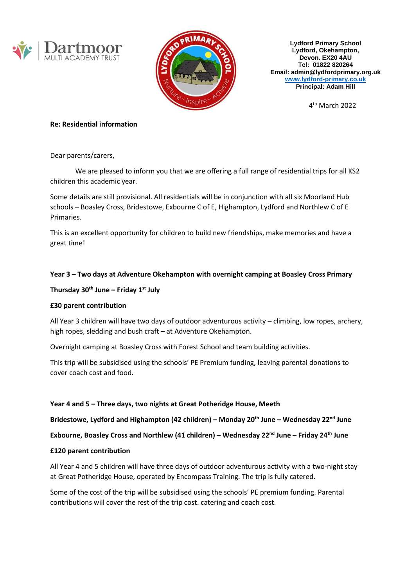



**Lydford Primary School Lydford, Okehampton, Devon. EX20 4AU Tel: 01822 820264 Email: admin@lydfordprimary.org.uk [www.lydford-primary.co.uk](http://www.lydford-primary.co.uk/) Principal: Adam Hill**

4 th March 2022

### **Re: Residential information**

Dear parents/carers,

We are pleased to inform you that we are offering a full range of residential trips for all KS2 children this academic year.

Some details are still provisional. All residentials will be in conjunction with all six Moorland Hub schools – Boasley Cross, Bridestowe, Exbourne C of E, Highampton, Lydford and Northlew C of E Primaries.

This is an excellent opportunity for children to build new friendships, make memories and have a great time!

### **Year 3 – Two days at Adventure Okehampton with overnight camping at Boasley Cross Primary**

**Thursday 30th June – Friday 1 st July**

# **£30 parent contribution**

All Year 3 children will have two days of outdoor adventurous activity – climbing, low ropes, archery, high ropes, sledding and bush craft – at Adventure Okehampton.

Overnight camping at Boasley Cross with Forest School and team building activities.

This trip will be subsidised using the schools' PE Premium funding, leaving parental donations to cover coach cost and food.

#### **Year 4 and 5 – Three days, two nights at Great Potheridge House, Meeth**

**Bridestowe, Lydford and Highampton (42 children) – Monday 20th June – Wednesday 22nd June**

**Exbourne, Boasley Cross and Northlew (41 children) – Wednesday 22nd June – Friday 24th June**

#### **£120 parent contribution**

All Year 4 and 5 children will have three days of outdoor adventurous activity with a two-night stay at Great Potheridge House, operated by Encompass Training. The trip is fully catered.

Some of the cost of the trip will be subsidised using the schools' PE premium funding. Parental contributions will cover the rest of the trip cost. catering and coach cost.